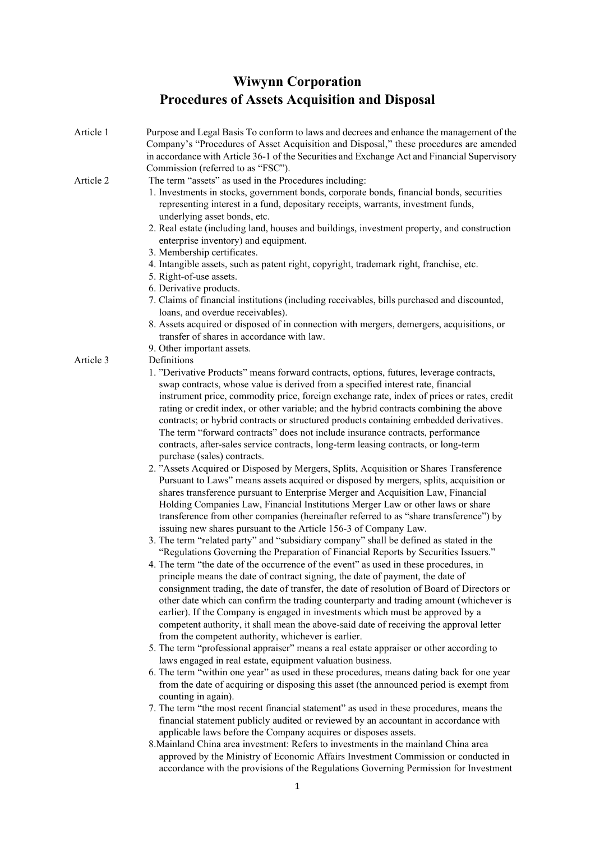## **Wiwynn Corporation [Procedures of Assets Acquisition and Disposal](https://www.wiwynn.com/static/investors/corporate-governance/8_Procedures_of_Asset_Acquisition_and_Disposal_EN_190625.pdf)**

| Article 1 | Purpose and Legal Basis To conform to laws and decrees and enhance the management of the<br>Company's "Procedures of Asset Acquisition and Disposal," these procedures are amended   |
|-----------|--------------------------------------------------------------------------------------------------------------------------------------------------------------------------------------|
|           | in accordance with Article 36-1 of the Securities and Exchange Act and Financial Supervisory<br>Commission (referred to as "FSC").                                                   |
| Article 2 | The term "assets" as used in the Procedures including:<br>1. Investments in stocks, government bonds, corporate bonds, financial bonds, securities                                   |
|           | representing interest in a fund, depositary receipts, warrants, investment funds,<br>underlying asset bonds, etc.                                                                    |
|           | 2. Real estate (including land, houses and buildings, investment property, and construction<br>enterprise inventory) and equipment.                                                  |
|           | 3. Membership certificates.                                                                                                                                                          |
|           | 4. Intangible assets, such as patent right, copyright, trademark right, franchise, etc.<br>5. Right-of-use assets.                                                                   |
|           | 6. Derivative products.                                                                                                                                                              |
|           | 7. Claims of financial institutions (including receivables, bills purchased and discounted,<br>loans, and overdue receivables).                                                      |
|           | 8. Assets acquired or disposed of in connection with mergers, demergers, acquisitions, or<br>transfer of shares in accordance with law.                                              |
|           | 9. Other important assets.                                                                                                                                                           |
| Article 3 | Definitions<br>1. "Derivative Products" means forward contracts, options, futures, leverage contracts,                                                                               |
|           | swap contracts, whose value is derived from a specified interest rate, financial                                                                                                     |
|           | instrument price, commodity price, foreign exchange rate, index of prices or rates, credit                                                                                           |
|           | rating or credit index, or other variable; and the hybrid contracts combining the above<br>contracts; or hybrid contracts or structured products containing embedded derivatives.    |
|           | The term "forward contracts" does not include insurance contracts, performance                                                                                                       |
|           | contracts, after-sales service contracts, long-term leasing contracts, or long-term                                                                                                  |
|           | purchase (sales) contracts.                                                                                                                                                          |
|           | 2. "Assets Acquired or Disposed by Mergers, Splits, Acquisition or Shares Transference<br>Pursuant to Laws" means assets acquired or disposed by mergers, splits, acquisition or     |
|           | shares transference pursuant to Enterprise Merger and Acquisition Law, Financial                                                                                                     |
|           | Holding Companies Law, Financial Institutions Merger Law or other laws or share                                                                                                      |
|           | transference from other companies (hereinafter referred to as "share transference") by<br>issuing new shares pursuant to the Article 156-3 of Company Law.                           |
|           | 3. The term "related party" and "subsidiary company" shall be defined as stated in the                                                                                               |
|           | "Regulations Governing the Preparation of Financial Reports by Securities Issuers."                                                                                                  |
|           | 4. The term "the date of the occurrence of the event" as used in these procedures, in                                                                                                |
|           | principle means the date of contract signing, the date of payment, the date of<br>consignment trading, the date of transfer, the date of resolution of Board of Directors or         |
|           | other date which can confirm the trading counterparty and trading amount (whichever is                                                                                               |
|           | earlier). If the Company is engaged in investments which must be approved by a                                                                                                       |
|           | competent authority, it shall mean the above-said date of receiving the approval letter                                                                                              |
|           | from the competent authority, whichever is earlier.<br>5. The term "professional appraiser" means a real estate appraiser or other according to                                      |
|           | laws engaged in real estate, equipment valuation business.                                                                                                                           |
|           | 6. The term "within one year" as used in these procedures, means dating back for one year<br>from the date of acquiring or disposing this asset (the announced period is exempt from |
|           | counting in again).<br>7. The term "the most recent financial statement" as used in these procedures, means the                                                                      |
|           | financial statement publicly audited or reviewed by an accountant in accordance with<br>applicable laws before the Company acquires or disposes assets.                              |
|           | 8. Mainland China area investment: Refers to investments in the mainland China area                                                                                                  |
|           | approved by the Ministry of Economic Affairs Investment Commission or conducted in<br>accordance with the provisions of the Regulations Governing Permission for Investment          |
|           | 1                                                                                                                                                                                    |
|           |                                                                                                                                                                                      |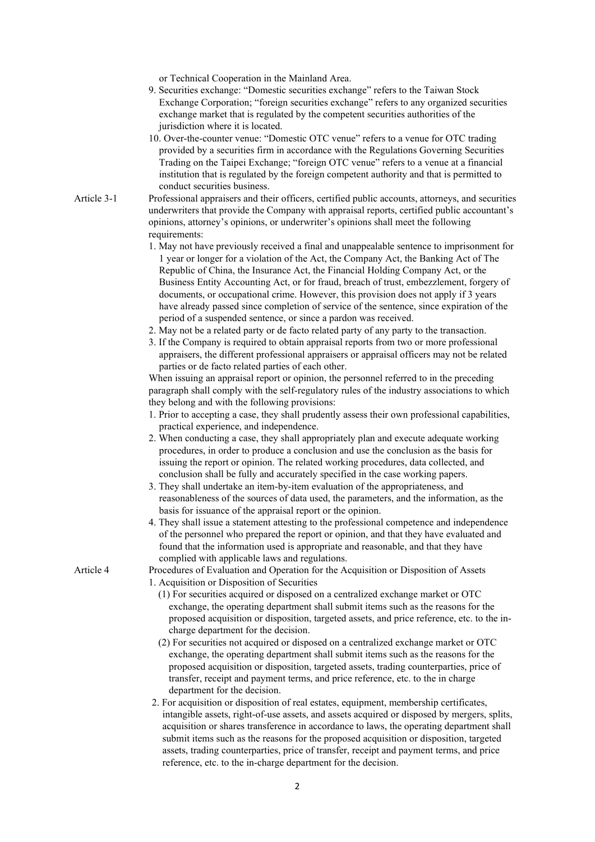or Technical Cooperation in the Mainland Area.

- 9. Securities exchange: "Domestic securities exchange" refers to the Taiwan Stock Exchange Corporation; "foreign securities exchange" refers to any organized securities exchange market that is regulated by the competent securities authorities of the jurisdiction where it is located.
- 10. Over-the-counter venue: "Domestic OTC venue" refers to a venue for OTC trading provided by a securities firm in accordance with the Regulations Governing Securities Trading on the Taipei Exchange; "foreign OTC venue" refers to a venue at a financial institution that is regulated by the foreign competent authority and that is permitted to conduct securities business.
- Article 3-1 Professional appraisers and their officers, certified public accounts, attorneys, and securities underwriters that provide the Company with appraisal reports, certified public accountant's opinions, attorney's opinions, or underwriter's opinions shall meet the following requirements:
	- 1. May not have previously received a final and unappealable sentence to imprisonment for 1 year or longer for a violation of the Act, the Company Act, the Banking Act of The Republic of China, the Insurance Act, the Financial Holding Company Act, or the Business Entity Accounting Act, or for fraud, breach of trust, embezzlement, forgery of documents, or occupational crime. However, this provision does not apply if 3 years have already passed since completion of service of the sentence, since expiration of the period of a suspended sentence, or since a pardon was received.
	- 2. May not be a related party or de facto related party of any party to the transaction.
	- 3. If the Company is required to obtain appraisal reports from two or more professional appraisers, the different professional appraisers or appraisal officers may not be related parties or de facto related parties of each other.

When issuing an appraisal report or opinion, the personnel referred to in the preceding paragraph shall comply with the self-regulatory rules of the industry associations to which they belong and with the following provisions:

- 1. Prior to accepting a case, they shall prudently assess their own professional capabilities, practical experience, and independence.
- 2. When conducting a case, they shall appropriately plan and execute adequate working procedures, in order to produce a conclusion and use the conclusion as the basis for issuing the report or opinion. The related working procedures, data collected, and conclusion shall be fully and accurately specified in the case working papers.
- 3. They shall undertake an item-by-item evaluation of the appropriateness, and reasonableness of the sources of data used, the parameters, and the information, as the basis for issuance of the appraisal report or the opinion.
- 4. They shall issue a statement attesting to the professional competence and independence of the personnel who prepared the report or opinion, and that they have evaluated and found that the information used is appropriate and reasonable, and that they have complied with applicable laws and regulations.

Article 4 Procedures of Evaluation and Operation for the Acquisition or Disposition of Assets 1. Acquisition or Disposition of Securities

- (1) For securities acquired or disposed on a centralized exchange market or OTC exchange, the operating department shall submit items such as the reasons for the proposed acquisition or disposition, targeted assets, and price reference, etc. to the incharge department for the decision.
- (2) For securities not acquired or disposed on a centralized exchange market or OTC exchange, the operating department shall submit items such as the reasons for the proposed acquisition or disposition, targeted assets, trading counterparties, price of transfer, receipt and payment terms, and price reference, etc. to the in charge department for the decision.
- 2. For acquisition or disposition of real estates, equipment, membership certificates, intangible assets, right-of-use assets, and assets acquired or disposed by mergers, splits, acquisition or shares transference in accordance to laws, the operating department shall submit items such as the reasons for the proposed acquisition or disposition, targeted assets, trading counterparties, price of transfer, receipt and payment terms, and price reference, etc. to the in-charge department for the decision.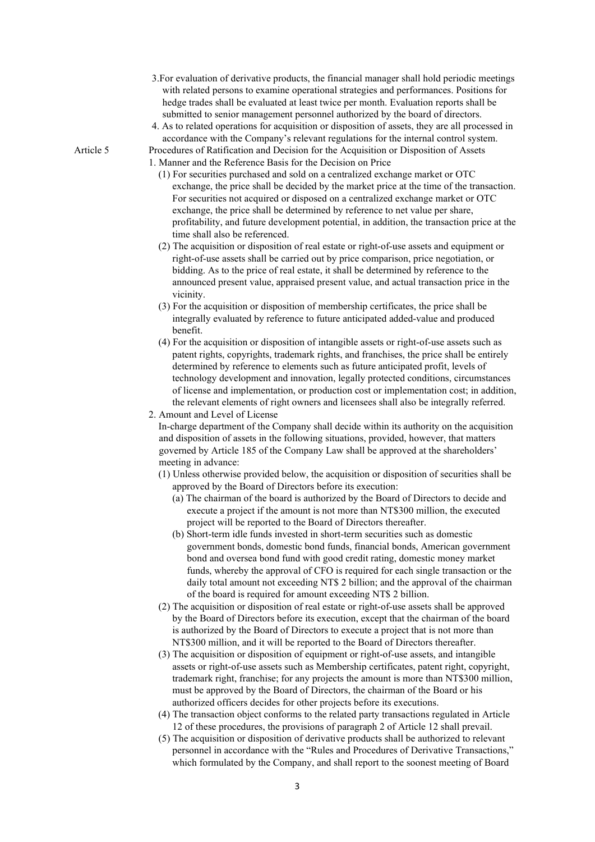- 3.For evaluation of derivative products, the financial manager shall hold periodic meetings with related persons to examine operational strategies and performances. Positions for hedge trades shall be evaluated at least twice per month. Evaluation reports shall be submitted to senior management personnel authorized by the board of directors.
- 4. As to related operations for acquisition or disposition of assets, they are all processed in accordance with the Company's relevant regulations for the internal control system. Article 5 Procedures of Ratification and Decision for the Acquisition or Disposition of Assets

1. Manner and the Reference Basis for the Decision on Price

- (1) For securities purchased and sold on a centralized exchange market or OTC exchange, the price shall be decided by the market price at the time of the transaction. For securities not acquired or disposed on a centralized exchange market or OTC exchange, the price shall be determined by reference to net value per share, profitability, and future development potential, in addition, the transaction price at the time shall also be referenced.
- (2) The acquisition or disposition of real estate or right-of-use assets and equipment or right-of-use assets shall be carried out by price comparison, price negotiation, or bidding. As to the price of real estate, it shall be determined by reference to the announced present value, appraised present value, and actual transaction price in the vicinity.
- (3) For the acquisition or disposition of membership certificates, the price shall be integrally evaluated by reference to future anticipated added-value and produced benefit.
- (4) For the acquisition or disposition of intangible assets or right-of-use assets such as patent rights, copyrights, trademark rights, and franchises, the price shall be entirely determined by reference to elements such as future anticipated profit, levels of technology development and innovation, legally protected conditions, circumstances of license and implementation, or production cost or implementation cost; in addition, the relevant elements of right owners and licensees shall also be integrally referred.
- 2. Amount and Level of License

In-charge department of the Company shall decide within its authority on the acquisition and disposition of assets in the following situations, provided, however, that matters governed by Article 185 of the Company Law shall be approved at the shareholders' meeting in advance:

- (1) Unless otherwise provided below, the acquisition or disposition of securities shall be approved by the Board of Directors before its execution:
	- (a) The chairman of the board is authorized by the Board of Directors to decide and execute a project if the amount is not more than NT\$300 million, the executed project will be reported to the Board of Directors thereafter.
	- (b) Short-term idle funds invested in short-term securities such as domestic government bonds, domestic bond funds, financial bonds, American government bond and oversea bond fund with good credit rating, domestic money market funds, whereby the approval of CFO is required for each single transaction or the daily total amount not exceeding NT\$ 2 billion; and the approval of the chairman of the board is required for amount exceeding NT\$ 2 billion.
- (2) The acquisition or disposition of real estate or right-of-use assets shall be approved by the Board of Directors before its execution, except that the chairman of the board is authorized by the Board of Directors to execute a project that is not more than NT\$300 million, and it will be reported to the Board of Directors thereafter.
- (3) The acquisition or disposition of equipment or right-of-use assets, and intangible assets or right-of-use assets such as Membership certificates, patent right, copyright, trademark right, franchise; for any projects the amount is more than NT\$300 million, must be approved by the Board of Directors, the chairman of the Board or his authorized officers decides for other projects before its executions.
- (4) The transaction object conforms to the related party transactions regulated in Article 12 of these procedures, the provisions of paragraph 2 of Article 12 shall prevail.
- (5) The acquisition or disposition of derivative products shall be authorized to relevant personnel in accordance with the "Rules and Procedures of Derivative Transactions," which formulated by the Company, and shall report to the soonest meeting of Board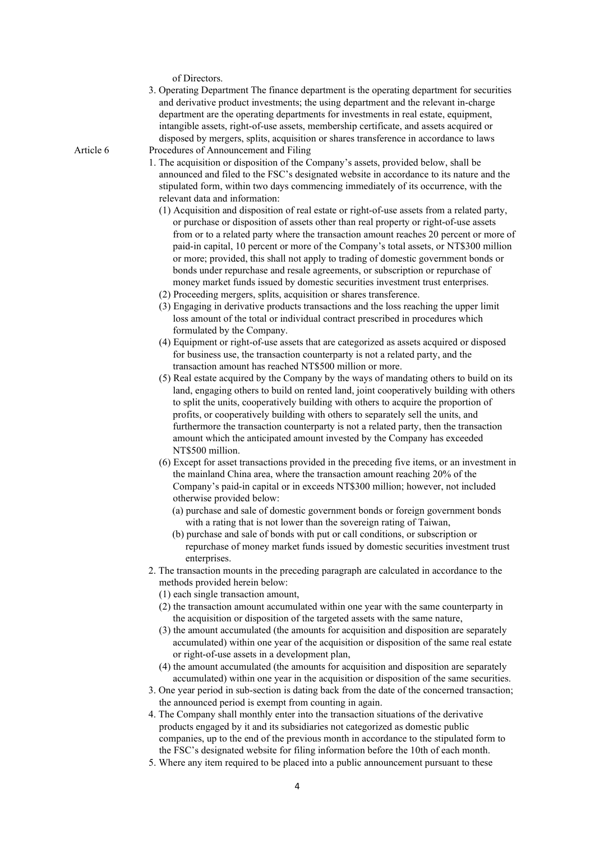of Directors.

3. Operating Department The finance department is the operating department for securities and derivative product investments; the using department and the relevant in-charge department are the operating departments for investments in real estate, equipment, intangible assets, right-of-use assets, membership certificate, and assets acquired or disposed by mergers, splits, acquisition or shares transference in accordance to laws Article 6 Procedures of Announcement and Filing

- 1. The acquisition or disposition of the Company's assets, provided below, shall be announced and filed to the FSC's designated website in accordance to its nature and the stipulated form, within two days commencing immediately of its occurrence, with the relevant data and information:
	- (1) Acquisition and disposition of real estate or right-of-use assets from a related party, or purchase or disposition of assets other than real property or right-of-use assets from or to a related party where the transaction amount reaches 20 percent or more of paid-in capital, 10 percent or more of the Company's total assets, or NT\$300 million or more; provided, this shall not apply to trading of domestic government bonds or bonds under repurchase and resale agreements, or subscription or repurchase of money market funds issued by domestic securities investment trust enterprises.
	- (2) Proceeding mergers, splits, acquisition or shares transference.
	- (3) Engaging in derivative products transactions and the loss reaching the upper limit loss amount of the total or individual contract prescribed in procedures which formulated by the Company.
	- (4) Equipment or right-of-use assets that are categorized as assets acquired or disposed for business use, the transaction counterparty is not a related party, and the transaction amount has reached NT\$500 million or more.
	- (5) Real estate acquired by the Company by the ways of mandating others to build on its land, engaging others to build on rented land, joint cooperatively building with others to split the units, cooperatively building with others to acquire the proportion of profits, or cooperatively building with others to separately sell the units, and furthermore the transaction counterparty is not a related party, then the transaction amount which the anticipated amount invested by the Company has exceeded NT\$500 million.
	- (6) Except for asset transactions provided in the preceding five items, or an investment in the mainland China area, where the transaction amount reaching 20% of the Company's paid-in capital or in exceeds NT\$300 million; however, not included otherwise provided below:
		- (a) purchase and sale of domestic government bonds or foreign government bonds with a rating that is not lower than the sovereign rating of Taiwan,
		- (b) purchase and sale of bonds with put or call conditions, or subscription or repurchase of money market funds issued by domestic securities investment trust enterprises.
- 2. The transaction mounts in the preceding paragraph are calculated in accordance to the methods provided herein below:
	- (1) each single transaction amount,
	- (2) the transaction amount accumulated within one year with the same counterparty in the acquisition or disposition of the targeted assets with the same nature,
	- (3) the amount accumulated (the amounts for acquisition and disposition are separately accumulated) within one year of the acquisition or disposition of the same real estate or right-of-use assets in a development plan,
	- (4) the amount accumulated (the amounts for acquisition and disposition are separately accumulated) within one year in the acquisition or disposition of the same securities.
- 3. One year period in sub-section is dating back from the date of the concerned transaction; the announced period is exempt from counting in again.
- 4. The Company shall monthly enter into the transaction situations of the derivative products engaged by it and its subsidiaries not categorized as domestic public companies, up to the end of the previous month in accordance to the stipulated form to the FSC's designated website for filing information before the 10th of each month.
- 5. Where any item required to be placed into a public announcement pursuant to these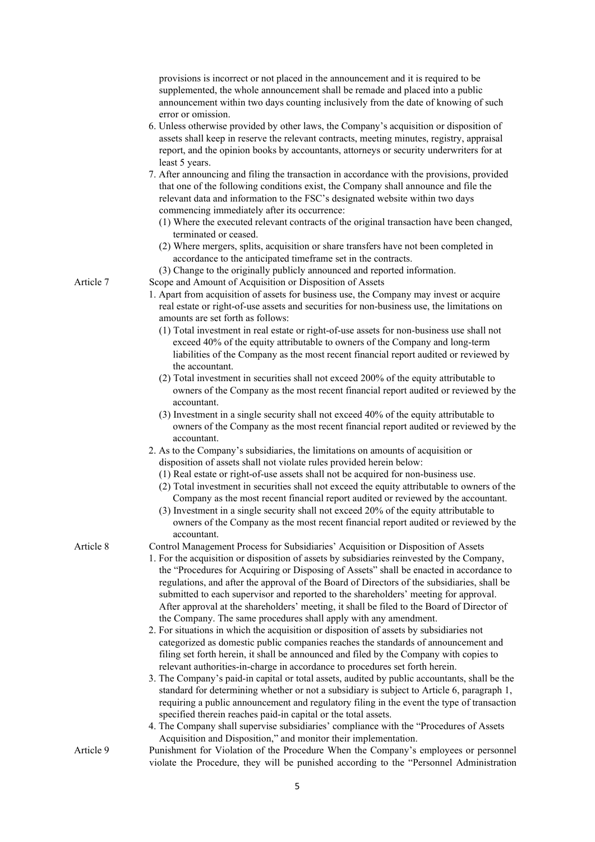provisions is incorrect or not placed in the announcement and it is required to be supplemented, the whole announcement shall be remade and placed into a public announcement within two days counting inclusively from the date of knowing of such error or omission.

- 6. Unless otherwise provided by other laws, the Company's acquisition or disposition of assets shall keep in reserve the relevant contracts, meeting minutes, registry, appraisal report, and the opinion books by accountants, attorneys or security underwriters for at least 5 years.
- 7. After announcing and filing the transaction in accordance with the provisions, provided that one of the following conditions exist, the Company shall announce and file the relevant data and information to the FSC's designated website within two days commencing immediately after its occurrence:
	- (1) Where the executed relevant contracts of the original transaction have been changed, terminated or ceased.
	- (2) Where mergers, splits, acquisition or share transfers have not been completed in accordance to the anticipated timeframe set in the contracts.
	- (3) Change to the originally publicly announced and reported information.

Article 7 Scope and Amount of Acquisition or Disposition of Assets

- 1. Apart from acquisition of assets for business use, the Company may invest or acquire real estate or right-of-use assets and securities for non-business use, the limitations on amounts are set forth as follows:
	- (1) Total investment in real estate or right-of-use assets for non-business use shall not exceed 40% of the equity attributable to owners of the Company and long-term liabilities of the Company as the most recent financial report audited or reviewed by the accountant.
	- (2) Total investment in securities shall not exceed 200% of the equity attributable to owners of the Company as the most recent financial report audited or reviewed by the accountant.
	- (3) Investment in a single security shall not exceed 40% of the equity attributable to owners of the Company as the most recent financial report audited or reviewed by the accountant.
- 2. As to the Company's subsidiaries, the limitations on amounts of acquisition or disposition of assets shall not violate rules provided herein below:
	- (1) Real estate or right-of-use assets shall not be acquired for non-business use.
	- (2) Total investment in securities shall not exceed the equity attributable to owners of the Company as the most recent financial report audited or reviewed by the accountant.
	- (3) Investment in a single security shall not exceed 20% of the equity attributable to owners of the Company as the most recent financial report audited or reviewed by the accountant.

- Article 8 Control Management Process for Subsidiaries' Acquisition or Disposition of Assets 1. For the acquisition or disposition of assets by subsidiaries reinvested by the Company, the "Procedures for Acquiring or Disposing of Assets" shall be enacted in accordance to regulations, and after the approval of the Board of Directors of the subsidiaries, shall be submitted to each supervisor and reported to the shareholders' meeting for approval. After approval at the shareholders' meeting, it shall be filed to the Board of Director of the Company. The same procedures shall apply with any amendment.
	- 2. For situations in which the acquisition or disposition of assets by subsidiaries not categorized as domestic public companies reaches the standards of announcement and filing set forth herein, it shall be announced and filed by the Company with copies to relevant authorities-in-charge in accordance to procedures set forth herein.
	- 3. The Company's paid-in capital or total assets, audited by public accountants, shall be the standard for determining whether or not a subsidiary is subject to Article 6, paragraph 1, requiring a public announcement and regulatory filing in the event the type of transaction specified therein reaches paid-in capital or the total assets.
	- 4. The Company shall supervise subsidiaries' compliance with the "Procedures of Assets Acquisition and Disposition," and monitor their implementation.
- Article 9 Punishment for Violation of the Procedure When the Company's employees or personnel violate the Procedure, they will be punished according to the "Personnel Administration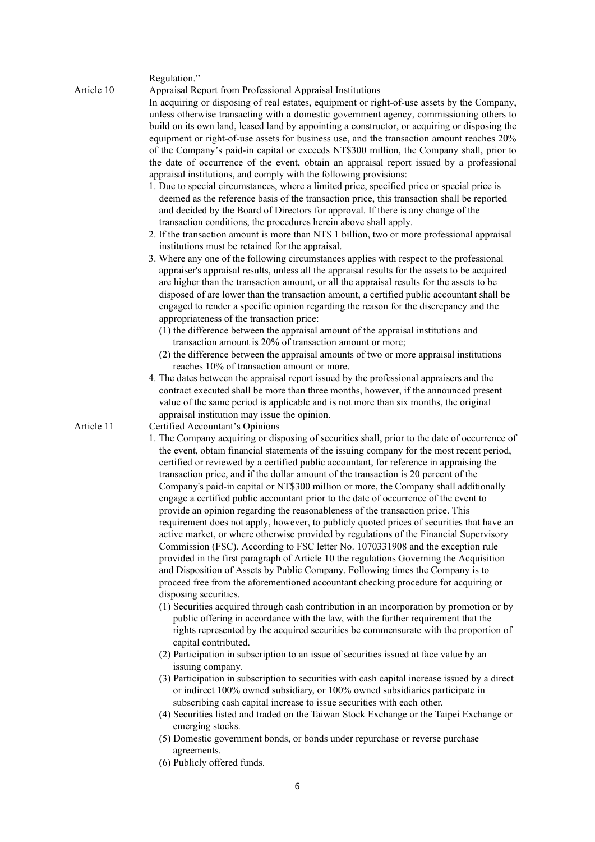Regulation."

Article 10 Appraisal Report from Professional Appraisal Institutions In acquiring or disposing of real estates, equipment or right-of-use assets by the Company, unless otherwise transacting with a domestic government agency, commissioning others to build on its own land, leased land by appointing a constructor, or acquiring or disposing the equipment or right-of-use assets for business use, and the transaction amount reaches 20% of the Company's paid-in capital or exceeds NT\$300 million, the Company shall, prior to the date of occurrence of the event, obtain an appraisal report issued by a professional appraisal institutions, and comply with the following provisions:

- 1. Due to special circumstances, where a limited price, specified price or special price is deemed as the reference basis of the transaction price, this transaction shall be reported and decided by the Board of Directors for approval. If there is any change of the transaction conditions, the procedures herein above shall apply.
- 2. If the transaction amount is more than NT\$ 1 billion, two or more professional appraisal institutions must be retained for the appraisal.
- 3. Where any one of the following circumstances applies with respect to the professional appraiser's appraisal results, unless all the appraisal results for the assets to be acquired are higher than the transaction amount, or all the appraisal results for the assets to be disposed of are lower than the transaction amount, a certified public accountant shall be engaged to render a specific opinion regarding the reason for the discrepancy and the appropriateness of the transaction price:
	- (1) the difference between the appraisal amount of the appraisal institutions and transaction amount is 20% of transaction amount or more;
	- (2) the difference between the appraisal amounts of two or more appraisal institutions reaches 10% of transaction amount or more.
- 4. The dates between the appraisal report issued by the professional appraisers and the contract executed shall be more than three months, however, if the announced present value of the same period is applicable and is not more than six months, the original appraisal institution may issue the opinion.

Article 11 Certified Accountant's Opinions

- 1. The Company acquiring or disposing of securities shall, prior to the date of occurrence of the event, obtain financial statements of the issuing company for the most recent period, certified or reviewed by a certified public accountant, for reference in appraising the transaction price, and if the dollar amount of the transaction is 20 percent of the Company's paid-in capital or NT\$300 million or more, the Company shall additionally engage a certified public accountant prior to the date of occurrence of the event to provide an opinion regarding the reasonableness of the transaction price. This requirement does not apply, however, to publicly quoted prices of securities that have an active market, or where otherwise provided by regulations of the Financial Supervisory Commission (FSC). According to FSC letter No. 1070331908 and the exception rule provided in the first paragraph of Article 10 the regulations Governing the Acquisition and Disposition of Assets by Public Company. Following times the Company is to proceed free from the aforementioned accountant checking procedure for acquiring or disposing securities.
	- (1) Securities acquired through cash contribution in an incorporation by promotion or by public offering in accordance with the law, with the further requirement that the rights represented by the acquired securities be commensurate with the proportion of capital contributed.
	- (2) Participation in subscription to an issue of securities issued at face value by an issuing company.
	- (3) Participation in subscription to securities with cash capital increase issued by a direct or indirect 100% owned subsidiary, or 100% owned subsidiaries participate in subscribing cash capital increase to issue securities with each other.
	- (4) Securities listed and traded on the Taiwan Stock Exchange or the Taipei Exchange or emerging stocks.
	- (5) Domestic government bonds, or bonds under repurchase or reverse purchase agreements.
	- (6) Publicly offered funds.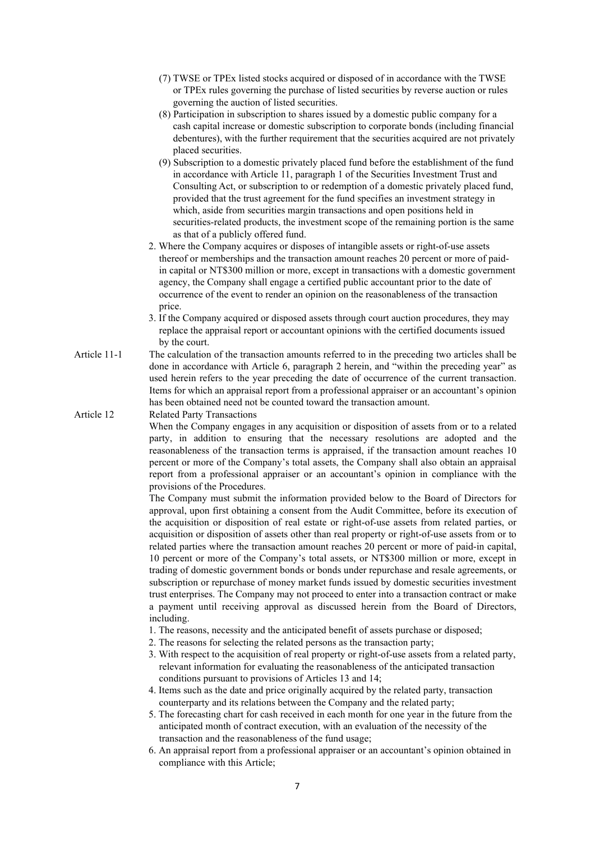- (7) TWSE or TPEx listed stocks acquired or disposed of in accordance with the TWSE or TPEx rules governing the purchase of listed securities by reverse auction or rules governing the auction of listed securities.
- (8) Participation in subscription to shares issued by a domestic public company for a cash capital increase or domestic subscription to corporate bonds (including financial debentures), with the further requirement that the securities acquired are not privately placed securities.
- (9) Subscription to a domestic privately placed fund before the establishment of the fund in accordance with Article 11, paragraph 1 of the Securities Investment Trust and Consulting Act, or subscription to or redemption of a domestic privately placed fund, provided that the trust agreement for the fund specifies an investment strategy in which, aside from securities margin transactions and open positions held in securities-related products, the investment scope of the remaining portion is the same as that of a publicly offered fund.
- 2. Where the Company acquires or disposes of intangible assets or right-of-use assets thereof or memberships and the transaction amount reaches 20 percent or more of paidin capital or NT\$300 million or more, except in transactions with a domestic government agency, the Company shall engage a certified public accountant prior to the date of occurrence of the event to render an opinion on the reasonableness of the transaction price.
- 3. If the Company acquired or disposed assets through court auction procedures, they may replace the appraisal report or accountant opinions with the certified documents issued by the court.
- Article 11-1 The calculation of the transaction amounts referred to in the preceding two articles shall be done in accordance with Article 6, paragraph 2 herein, and "within the preceding year" as used herein refers to the year preceding the date of occurrence of the current transaction. Items for which an appraisal report from a professional appraiser or an accountant's opinion has been obtained need not be counted toward the transaction amount.

Article 12 Related Party Transactions

When the Company engages in any acquisition or disposition of assets from or to a related party, in addition to ensuring that the necessary resolutions are adopted and the reasonableness of the transaction terms is appraised, if the transaction amount reaches 10 percent or more of the Company's total assets, the Company shall also obtain an appraisal report from a professional appraiser or an accountant's opinion in compliance with the provisions of the Procedures.

The Company must submit the information provided below to the Board of Directors for approval, upon first obtaining a consent from the Audit Committee, before its execution of the acquisition or disposition of real estate or right-of-use assets from related parties, or acquisition or disposition of assets other than real property or right-of-use assets from or to related parties where the transaction amount reaches 20 percent or more of paid-in capital, 10 percent or more of the Company's total assets, or NT\$300 million or more, except in trading of domestic government bonds or bonds under repurchase and resale agreements, or subscription or repurchase of money market funds issued by domestic securities investment trust enterprises. The Company may not proceed to enter into a transaction contract or make a payment until receiving approval as discussed herein from the Board of Directors, including.

- 1. The reasons, necessity and the anticipated benefit of assets purchase or disposed;
- 2. The reasons for selecting the related persons as the transaction party;
- 3. With respect to the acquisition of real property or right-of-use assets from a related party, relevant information for evaluating the reasonableness of the anticipated transaction conditions pursuant to provisions of Articles 13 and 14;
- 4. Items such as the date and price originally acquired by the related party, transaction counterparty and its relations between the Company and the related party;
- 5. The forecasting chart for cash received in each month for one year in the future from the anticipated month of contract execution, with an evaluation of the necessity of the transaction and the reasonableness of the fund usage;
- 6. An appraisal report from a professional appraiser or an accountant's opinion obtained in compliance with this Article;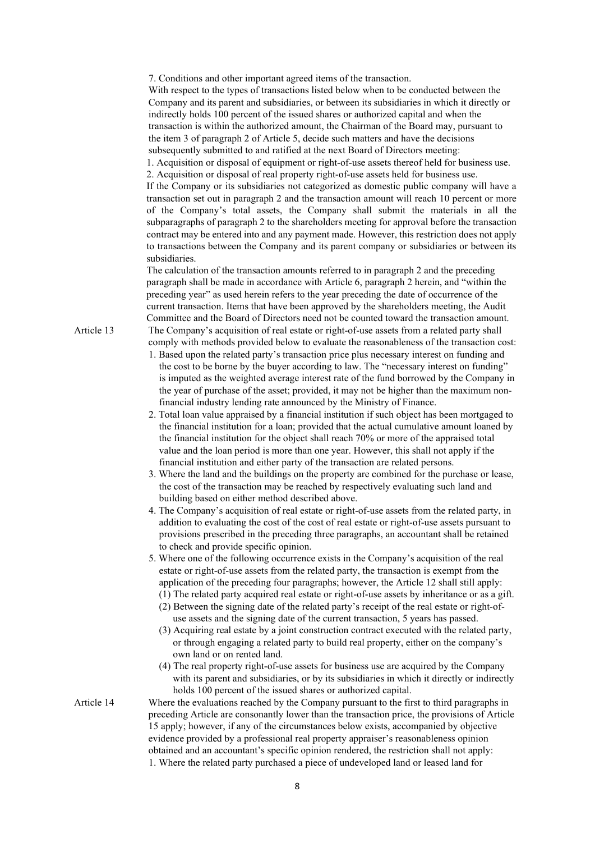7. Conditions and other important agreed items of the transaction.

With respect to the types of transactions listed below when to be conducted between the Company and its parent and subsidiaries, or between its subsidiaries in which it directly or indirectly holds 100 percent of the issued shares or authorized capital and when the transaction is within the authorized amount, the Chairman of the Board may, pursuant to the item 3 of paragraph 2 of Article 5, decide such matters and have the decisions subsequently submitted to and ratified at the next Board of Directors meeting:

1. Acquisition or disposal of equipment or right-of-use assets thereof held for business use. 2. Acquisition or disposal of real property right-of-use assets held for business use.

If the Company or its subsidiaries not categorized as domestic public company will have a transaction set out in paragraph 2 and the transaction amount will reach 10 percent or more of the Company's total assets, the Company shall submit the materials in all the subparagraphs of paragraph 2 to the shareholders meeting for approval before the transaction contract may be entered into and any payment made. However, this restriction does not apply to transactions between the Company and its parent company or subsidiaries or between its subsidiaries.

The calculation of the transaction amounts referred to in paragraph 2 and the preceding paragraph shall be made in accordance with Article 6, paragraph 2 herein, and "within the preceding year" as used herein refers to the year preceding the date of occurrence of the current transaction. Items that have been approved by the shareholders meeting, the Audit Committee and the Board of Directors need not be counted toward the transaction amount.

Article 13 The Company's acquisition of real estate or right-of-use assets from a related party shall comply with methods provided below to evaluate the reasonableness of the transaction cost:

- 1. Based upon the related party's transaction price plus necessary interest on funding and the cost to be borne by the buyer according to law. The "necessary interest on funding" is imputed as the weighted average interest rate of the fund borrowed by the Company in the year of purchase of the asset; provided, it may not be higher than the maximum nonfinancial industry lending rate announced by the Ministry of Finance.
- 2. Total loan value appraised by a financial institution if such object has been mortgaged to the financial institution for a loan; provided that the actual cumulative amount loaned by the financial institution for the object shall reach 70% or more of the appraised total value and the loan period is more than one year. However, this shall not apply if the financial institution and either party of the transaction are related persons.
- 3. Where the land and the buildings on the property are combined for the purchase or lease, the cost of the transaction may be reached by respectively evaluating such land and building based on either method described above.
- 4. The Company's acquisition of real estate or right-of-use assets from the related party, in addition to evaluating the cost of the cost of real estate or right-of-use assets pursuant to provisions prescribed in the preceding three paragraphs, an accountant shall be retained to check and provide specific opinion.
- 5. Where one of the following occurrence exists in the Company's acquisition of the real estate or right-of-use assets from the related party, the transaction is exempt from the application of the preceding four paragraphs; however, the Article 12 shall still apply:
	- (1) The related party acquired real estate or right-of-use assets by inheritance or as a gift.
	- (2) Between the signing date of the related party's receipt of the real estate or right-ofuse assets and the signing date of the current transaction, 5 years has passed.
	- (3) Acquiring real estate by a joint construction contract executed with the related party, or through engaging a related party to build real property, either on the company's own land or on rented land.
	- (4) The real property right-of-use assets for business use are acquired by the Company with its parent and subsidiaries, or by its subsidiaries in which it directly or indirectly holds 100 percent of the issued shares or authorized capital.
- Article 14 Where the evaluations reached by the Company pursuant to the first to third paragraphs in preceding Article are consonantly lower than the transaction price, the provisions of Article 15 apply; however, if any of the circumstances below exists, accompanied by objective evidence provided by a professional real property appraiser's reasonableness opinion obtained and an accountant's specific opinion rendered, the restriction shall not apply: 1. Where the related party purchased a piece of undeveloped land or leased land for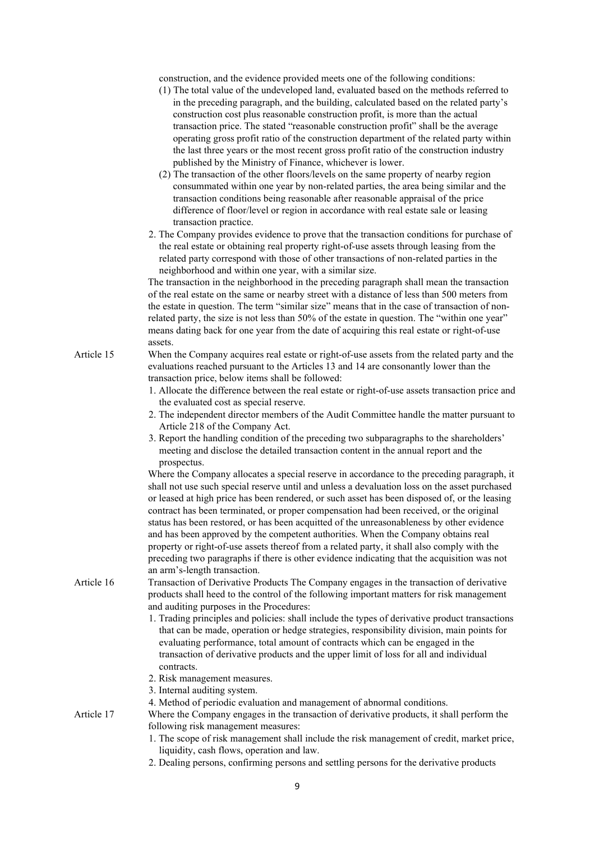construction, and the evidence provided meets one of the following conditions:

- (1) The total value of the undeveloped land, evaluated based on the methods referred to in the preceding paragraph, and the building, calculated based on the related party's construction cost plus reasonable construction profit, is more than the actual transaction price. The stated "reasonable construction profit" shall be the average operating gross profit ratio of the construction department of the related party within the last three years or the most recent gross profit ratio of the construction industry published by the Ministry of Finance, whichever is lower.
- (2) The transaction of the other floors/levels on the same property of nearby region consummated within one year by non-related parties, the area being similar and the transaction conditions being reasonable after reasonable appraisal of the price difference of floor/level or region in accordance with real estate sale or leasing transaction practice.
- 2. The Company provides evidence to prove that the transaction conditions for purchase of the real estate or obtaining real property right-of-use assets through leasing from the related party correspond with those of other transactions of non-related parties in the neighborhood and within one year, with a similar size.

The transaction in the neighborhood in the preceding paragraph shall mean the transaction of the real estate on the same or nearby street with a distance of less than 500 meters from the estate in question. The term "similar size" means that in the case of transaction of nonrelated party, the size is not less than 50% of the estate in question. The "within one year" means dating back for one year from the date of acquiring this real estate or right-of-use assets.

- Article 15 When the Company acquires real estate or right-of-use assets from the related party and the evaluations reached pursuant to the Articles 13 and 14 are consonantly lower than the transaction price, below items shall be followed:
	- 1. Allocate the difference between the real estate or right-of-use assets transaction price and the evaluated cost as special reserve.
	- 2. The independent director members of the Audit Committee handle the matter pursuant to Article 218 of the Company Act.
	- 3. Report the handling condition of the preceding two subparagraphs to the shareholders' meeting and disclose the detailed transaction content in the annual report and the prospectus.

Where the Company allocates a special reserve in accordance to the preceding paragraph, it shall not use such special reserve until and unless a devaluation loss on the asset purchased or leased at high price has been rendered, or such asset has been disposed of, or the leasing contract has been terminated, or proper compensation had been received, or the original status has been restored, or has been acquitted of the unreasonableness by other evidence and has been approved by the competent authorities. When the Company obtains real property or right-of-use assets thereof from a related party, it shall also comply with the preceding two paragraphs if there is other evidence indicating that the acquisition was not an arm's-length transaction.

Article 16 Transaction of Derivative Products The Company engages in the transaction of derivative products shall heed to the control of the following important matters for risk management and auditing purposes in the Procedures:

- 1. Trading principles and policies: shall include the types of derivative product transactions that can be made, operation or hedge strategies, responsibility division, main points for evaluating performance, total amount of contracts which can be engaged in the transaction of derivative products and the upper limit of loss for all and individual contracts.
- 2. Risk management measures.
- 3. Internal auditing system.
- 4. Method of periodic evaluation and management of abnormal conditions.

Article 17 Where the Company engages in the transaction of derivative products, it shall perform the following risk management measures:

- 1. The scope of risk management shall include the risk management of credit, market price, liquidity, cash flows, operation and law.
- 2. Dealing persons, confirming persons and settling persons for the derivative products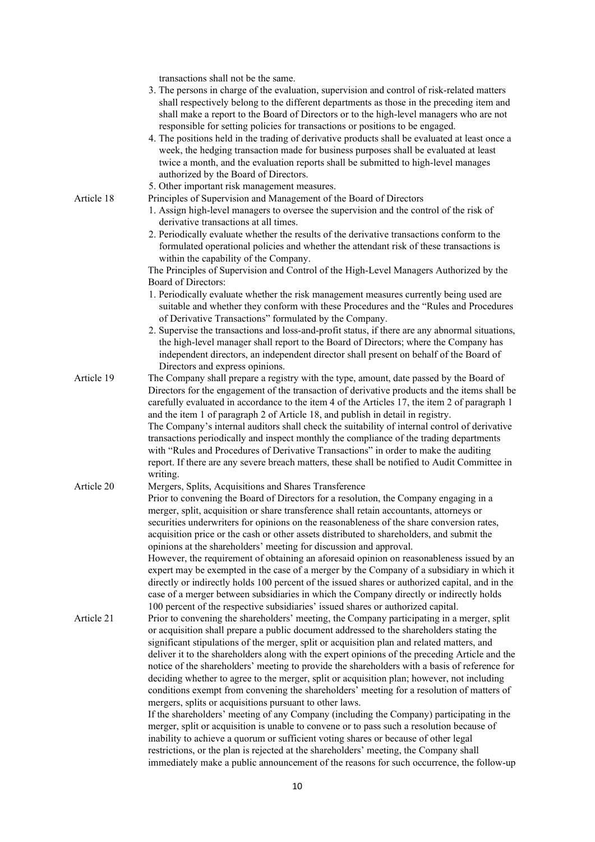transactions shall not be the same.

|            | ansactions shall not be the same.                                                                                                                                                                                                                                                                                                                                                                                                                                      |
|------------|------------------------------------------------------------------------------------------------------------------------------------------------------------------------------------------------------------------------------------------------------------------------------------------------------------------------------------------------------------------------------------------------------------------------------------------------------------------------|
|            | 3. The persons in charge of the evaluation, supervision and control of risk-related matters<br>shall respectively belong to the different departments as those in the preceding item and<br>shall make a report to the Board of Directors or to the high-level managers who are not<br>responsible for setting policies for transactions or positions to be engaged.<br>4. The positions held in the trading of derivative products shall be evaluated at least once a |
|            | week, the hedging transaction made for business purposes shall be evaluated at least<br>twice a month, and the evaluation reports shall be submitted to high-level manages<br>authorized by the Board of Directors.                                                                                                                                                                                                                                                    |
|            | 5. Other important risk management measures.                                                                                                                                                                                                                                                                                                                                                                                                                           |
| Article 18 | Principles of Supervision and Management of the Board of Directors                                                                                                                                                                                                                                                                                                                                                                                                     |
|            | 1. Assign high-level managers to oversee the supervision and the control of the risk of<br>derivative transactions at all times.                                                                                                                                                                                                                                                                                                                                       |
|            | 2. Periodically evaluate whether the results of the derivative transactions conform to the                                                                                                                                                                                                                                                                                                                                                                             |
|            | formulated operational policies and whether the attendant risk of these transactions is<br>within the capability of the Company.                                                                                                                                                                                                                                                                                                                                       |
|            | The Principles of Supervision and Control of the High-Level Managers Authorized by the                                                                                                                                                                                                                                                                                                                                                                                 |
|            | Board of Directors:                                                                                                                                                                                                                                                                                                                                                                                                                                                    |
|            | 1. Periodically evaluate whether the risk management measures currently being used are                                                                                                                                                                                                                                                                                                                                                                                 |
|            | suitable and whether they conform with these Procedures and the "Rules and Procedures                                                                                                                                                                                                                                                                                                                                                                                  |
|            | of Derivative Transactions" formulated by the Company.                                                                                                                                                                                                                                                                                                                                                                                                                 |
|            | 2. Supervise the transactions and loss-and-profit status, if there are any abnormal situations,<br>the high-level manager shall report to the Board of Directors; where the Company has<br>independent directors, an independent director shall present on behalf of the Board of<br>Directors and express opinions.                                                                                                                                                   |
| Article 19 | The Company shall prepare a registry with the type, amount, date passed by the Board of                                                                                                                                                                                                                                                                                                                                                                                |
|            | Directors for the engagement of the transaction of derivative products and the items shall be<br>carefully evaluated in accordance to the item 4 of the Articles 17, the item 2 of paragraph 1<br>and the item 1 of paragraph 2 of Article 18, and publish in detail in registry.                                                                                                                                                                                      |
|            | The Company's internal auditors shall check the suitability of internal control of derivative                                                                                                                                                                                                                                                                                                                                                                          |
|            | transactions periodically and inspect monthly the compliance of the trading departments<br>with "Rules and Procedures of Derivative Transactions" in order to make the auditing                                                                                                                                                                                                                                                                                        |
|            | report. If there are any severe breach matters, these shall be notified to Audit Committee in<br>writing.                                                                                                                                                                                                                                                                                                                                                              |
| Article 20 | Mergers, Splits, Acquisitions and Shares Transference                                                                                                                                                                                                                                                                                                                                                                                                                  |
|            | Prior to convening the Board of Directors for a resolution, the Company engaging in a<br>merger, split, acquisition or share transference shall retain accountants, attorneys or                                                                                                                                                                                                                                                                                       |
|            | securities underwriters for opinions on the reasonableness of the share conversion rates,<br>acquisition price or the cash or other assets distributed to shareholders, and submit the                                                                                                                                                                                                                                                                                 |
|            | opinions at the shareholders' meeting for discussion and approval.                                                                                                                                                                                                                                                                                                                                                                                                     |
|            | However, the requirement of obtaining an aforesaid opinion on reasonableness issued by an<br>expert may be exempted in the case of a merger by the Company of a subsidiary in which it<br>directly or indirectly holds 100 percent of the issued shares or authorized capital, and in the<br>case of a merger between subsidiaries in which the Company directly or indirectly holds                                                                                   |
|            | 100 percent of the respective subsidiaries' issued shares or authorized capital.                                                                                                                                                                                                                                                                                                                                                                                       |
| Article 21 | Prior to convening the shareholders' meeting, the Company participating in a merger, split<br>or acquisition shall prepare a public document addressed to the shareholders stating the<br>significant stipulations of the merger, split or acquisition plan and related matters, and                                                                                                                                                                                   |
|            | deliver it to the shareholders along with the expert opinions of the preceding Article and the<br>notice of the shareholders' meeting to provide the shareholders with a basis of reference for                                                                                                                                                                                                                                                                        |
|            | deciding whether to agree to the merger, split or acquisition plan; however, not including                                                                                                                                                                                                                                                                                                                                                                             |
|            | conditions exempt from convening the shareholders' meeting for a resolution of matters of<br>mergers, splits or acquisitions pursuant to other laws.                                                                                                                                                                                                                                                                                                                   |
|            | If the shareholders' meeting of any Company (including the Company) participating in the                                                                                                                                                                                                                                                                                                                                                                               |
|            | merger, split or acquisition is unable to convene or to pass such a resolution because of                                                                                                                                                                                                                                                                                                                                                                              |
|            | inability to achieve a quorum or sufficient voting shares or because of other legal                                                                                                                                                                                                                                                                                                                                                                                    |
|            | restrictions, or the plan is rejected at the shareholders' meeting, the Company shall                                                                                                                                                                                                                                                                                                                                                                                  |
|            | immediately make a public announcement of the reasons for such occurrence, the follow-up                                                                                                                                                                                                                                                                                                                                                                               |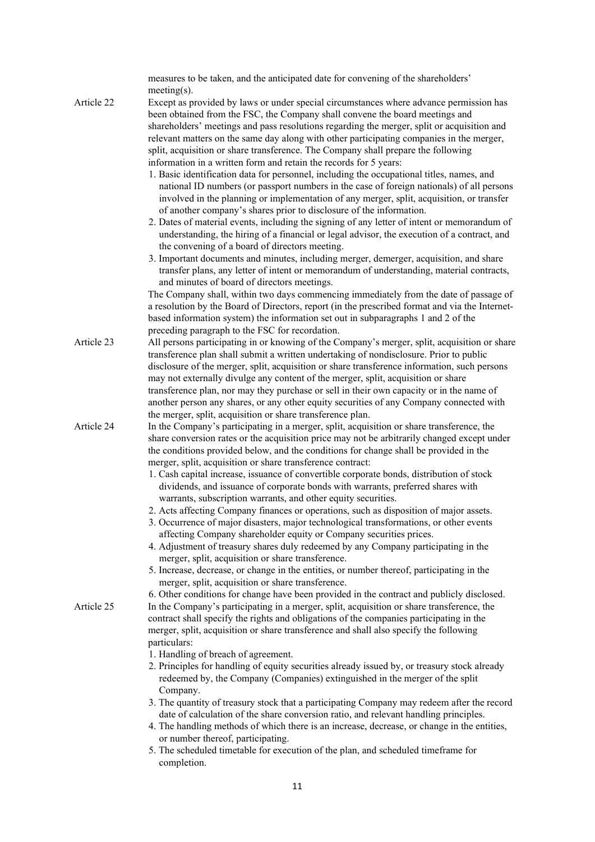|            | measures to be taken, and the anticipated date for convening of the shareholders'                                                                                                      |
|------------|----------------------------------------------------------------------------------------------------------------------------------------------------------------------------------------|
|            | $meeting(s)$ .                                                                                                                                                                         |
| Article 22 | Except as provided by laws or under special circumstances where advance permission has                                                                                                 |
|            | been obtained from the FSC, the Company shall convene the board meetings and                                                                                                           |
|            | shareholders' meetings and pass resolutions regarding the merger, split or acquisition and<br>relevant matters on the same day along with other participating companies in the merger, |
|            | split, acquisition or share transference. The Company shall prepare the following                                                                                                      |
|            | information in a written form and retain the records for 5 years:                                                                                                                      |
|            | 1. Basic identification data for personnel, including the occupational titles, names, and                                                                                              |
|            | national ID numbers (or passport numbers in the case of foreign nationals) of all persons                                                                                              |
|            | involved in the planning or implementation of any merger, split, acquisition, or transfer                                                                                              |
|            | of another company's shares prior to disclosure of the information.                                                                                                                    |
|            | 2. Dates of material events, including the signing of any letter of intent or memorandum of                                                                                            |
|            | understanding, the hiring of a financial or legal advisor, the execution of a contract, and                                                                                            |
|            | the convening of a board of directors meeting.                                                                                                                                         |
|            | 3. Important documents and minutes, including merger, demerger, acquisition, and share                                                                                                 |
|            | transfer plans, any letter of intent or memorandum of understanding, material contracts,                                                                                               |
|            | and minutes of board of directors meetings.                                                                                                                                            |
|            | The Company shall, within two days commencing immediately from the date of passage of                                                                                                  |
|            | a resolution by the Board of Directors, report (in the prescribed format and via the Internet-                                                                                         |
|            | based information system) the information set out in subparagraphs 1 and 2 of the                                                                                                      |
|            | preceding paragraph to the FSC for recordation.                                                                                                                                        |
| Article 23 | All persons participating in or knowing of the Company's merger, split, acquisition or share<br>transference plan shall submit a written undertaking of nondisclosure. Prior to public |
|            | disclosure of the merger, split, acquisition or share transference information, such persons                                                                                           |
|            | may not externally divulge any content of the merger, split, acquisition or share                                                                                                      |
|            | transference plan, nor may they purchase or sell in their own capacity or in the name of                                                                                               |
|            | another person any shares, or any other equity securities of any Company connected with                                                                                                |
|            | the merger, split, acquisition or share transference plan.                                                                                                                             |
| Article 24 | In the Company's participating in a merger, split, acquisition or share transference, the                                                                                              |
|            | share conversion rates or the acquisition price may not be arbitrarily changed except under                                                                                            |
|            | the conditions provided below, and the conditions for change shall be provided in the                                                                                                  |
|            | merger, split, acquisition or share transference contract:                                                                                                                             |
|            | 1. Cash capital increase, issuance of convertible corporate bonds, distribution of stock                                                                                               |
|            | dividends, and issuance of corporate bonds with warrants, preferred shares with                                                                                                        |
|            | warrants, subscription warrants, and other equity securities.                                                                                                                          |
|            | 2. Acts affecting Company finances or operations, such as disposition of major assets.                                                                                                 |
|            | 3. Occurrence of major disasters, major technological transformations, or other events<br>affecting Company shareholder equity or Company securities prices.                           |
|            | 4. Adjustment of treasury shares duly redeemed by any Company participating in the                                                                                                     |
|            | merger, split, acquisition or share transference.                                                                                                                                      |
|            | 5. Increase, decrease, or change in the entities, or number thereof, participating in the                                                                                              |
|            | merger, split, acquisition or share transference.                                                                                                                                      |
|            | 6. Other conditions for change have been provided in the contract and publicly disclosed.                                                                                              |
| Article 25 | In the Company's participating in a merger, split, acquisition or share transference, the                                                                                              |
|            | contract shall specify the rights and obligations of the companies participating in the                                                                                                |
|            | merger, split, acquisition or share transference and shall also specify the following                                                                                                  |
|            | particulars:                                                                                                                                                                           |
|            | 1. Handling of breach of agreement.                                                                                                                                                    |
|            | 2. Principles for handling of equity securities already issued by, or treasury stock already                                                                                           |
|            | redeemed by, the Company (Companies) extinguished in the merger of the split                                                                                                           |
|            | Company.                                                                                                                                                                               |
|            | 3. The quantity of treasury stock that a participating Company may redeem after the record                                                                                             |
|            | date of calculation of the share conversion ratio, and relevant handling principles.<br>4. The handling methods of which there is an increase, decrease, or change in the entities,    |
|            | or number thereof, participating.                                                                                                                                                      |
|            | 5. The scheduled timetable for execution of the plan, and scheduled timeframe for                                                                                                      |
|            | completion.                                                                                                                                                                            |